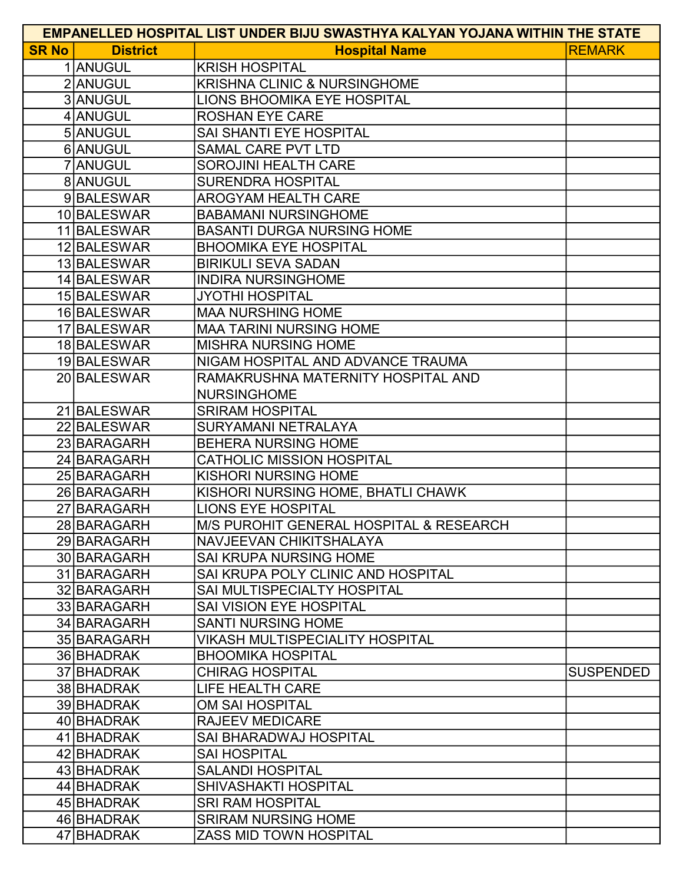| <b>EMPANELLED HOSPITAL LIST UNDER BIJU SWASTHYA KALYAN YOJANA WITHIN THE STATE</b> |                 |                                                        |                  |  |
|------------------------------------------------------------------------------------|-----------------|--------------------------------------------------------|------------------|--|
| <b>SR No</b>                                                                       | <b>District</b> | <b>Hospital Name</b>                                   | <b>REMARK</b>    |  |
|                                                                                    | 1 ANUGUL        | <b>KRISH HOSPITAL</b>                                  |                  |  |
|                                                                                    | 2 ANUGUL        | <b>KRISHNA CLINIC &amp; NURSINGHOME</b>                |                  |  |
|                                                                                    | 3 ANUGUL        | LIONS BHOOMIKA EYE HOSPITAL                            |                  |  |
|                                                                                    | 4 ANUGUL        | <b>ROSHAN EYE CARE</b>                                 |                  |  |
|                                                                                    | 5 ANUGUL        | SAI SHANTI EYE HOSPITAL                                |                  |  |
|                                                                                    | 6 ANUGUL        | <b>SAMAL CARE PVT LTD</b>                              |                  |  |
|                                                                                    | 7 ANUGUL        | <b>SOROJINI HEALTH CARE</b>                            |                  |  |
|                                                                                    | 8 ANUGUL        | <b>SURENDRA HOSPITAL</b>                               |                  |  |
|                                                                                    | 9BALESWAR       | <b>AROGYAM HEALTH CARE</b>                             |                  |  |
|                                                                                    | 10 BALESWAR     | <b>BABAMANI NURSINGHOME</b>                            |                  |  |
|                                                                                    | 11 BALESWAR     | <b>BASANTI DURGA NURSING HOME</b>                      |                  |  |
|                                                                                    | 12 BALESWAR     | <b>BHOOMIKA EYE HOSPITAL</b>                           |                  |  |
|                                                                                    | 13 BALESWAR     | <b>BIRIKULI SEVA SADAN</b>                             |                  |  |
|                                                                                    | 14 BALESWAR     | <b>INDIRA NURSINGHOME</b>                              |                  |  |
|                                                                                    | 15 BALESWAR     | <b>JYOTHI HOSPITAL</b>                                 |                  |  |
|                                                                                    | 16 BALESWAR     | <b>MAA NURSHING HOME</b>                               |                  |  |
|                                                                                    | 17 BALESWAR     | <b>MAA TARINI NURSING HOME</b>                         |                  |  |
|                                                                                    | 18 BALESWAR     | <b>MISHRA NURSING HOME</b>                             |                  |  |
|                                                                                    | 19 BALESWAR     | NIGAM HOSPITAL AND ADVANCE TRAUMA                      |                  |  |
|                                                                                    | 20 BALESWAR     | RAMAKRUSHNA MATERNITY HOSPITAL AND                     |                  |  |
|                                                                                    |                 | <b>NURSINGHOME</b>                                     |                  |  |
|                                                                                    | 21 BALESWAR     | <b>SRIRAM HOSPITAL</b>                                 |                  |  |
|                                                                                    | 22 BALESWAR     | SURYAMANI NETRALAYA                                    |                  |  |
|                                                                                    | 23 BARAGARH     | <b>BEHERA NURSING HOME</b>                             |                  |  |
|                                                                                    | 24 BARAGARH     | <b>CATHOLIC MISSION HOSPITAL</b>                       |                  |  |
|                                                                                    | 25 BARAGARH     | <b>KISHORI NURSING HOME</b>                            |                  |  |
|                                                                                    | 26 BARAGARH     | KISHORI NURSING HOME, BHATLI CHAWK                     |                  |  |
|                                                                                    | 27 BARAGARH     | <b>LIONS EYE HOSPITAL</b>                              |                  |  |
|                                                                                    | 28 BARAGARH     | M/S PUROHIT GENERAL HOSPITAL & RESEARCH                |                  |  |
|                                                                                    | 29 BARAGARH     | NAVJEEVAN CHIKITSHALAYA                                |                  |  |
|                                                                                    | 30 BARAGARH     | <b>SAI KRUPA NURSING HOME</b>                          |                  |  |
|                                                                                    | 31 BARAGARH     | SAI KRUPA POLY CLINIC AND HOSPITAL                     |                  |  |
|                                                                                    | 32 BARAGARH     | SAI MULTISPECIALTY HOSPITAL                            |                  |  |
|                                                                                    | 33 BARAGARH     | <b>SAI VISION EYE HOSPITAL</b>                         |                  |  |
|                                                                                    | 34 BARAGARH     | <b>SANTI NURSING HOME</b>                              |                  |  |
|                                                                                    | 35 BARAGARH     | <b>VIKASH MULTISPECIALITY HOSPITAL</b>                 |                  |  |
|                                                                                    | 36 BHADRAK      | <b>BHOOMIKA HOSPITAL</b>                               |                  |  |
|                                                                                    | 37 BHADRAK      | <b>CHIRAG HOSPITAL</b>                                 | <b>SUSPENDED</b> |  |
|                                                                                    | 38 BHADRAK      | LIFE HEALTH CARE                                       |                  |  |
|                                                                                    | 39 BHADRAK      | <b>OM SAI HOSPITAL</b>                                 |                  |  |
|                                                                                    | 40 BHADRAK      | <b>RAJEEV MEDICARE</b>                                 |                  |  |
|                                                                                    | 41 BHADRAK      | <b>SAI BHARADWAJ HOSPITAL</b>                          |                  |  |
|                                                                                    | 42 BHADRAK      | <b>SAI HOSPITAL</b>                                    |                  |  |
|                                                                                    | 43 BHADRAK      | <b>SALANDI HOSPITAL</b><br><b>SHIVASHAKTI HOSPITAL</b> |                  |  |
|                                                                                    | 44 BHADRAK      |                                                        |                  |  |
|                                                                                    | 45 BHADRAK      | <b>SRI RAM HOSPITAL</b>                                |                  |  |
|                                                                                    | 46 BHADRAK      | <b>SRIRAM NURSING HOME</b>                             |                  |  |
|                                                                                    | 47 BHADRAK      | <b>ZASS MID TOWN HOSPITAL</b>                          |                  |  |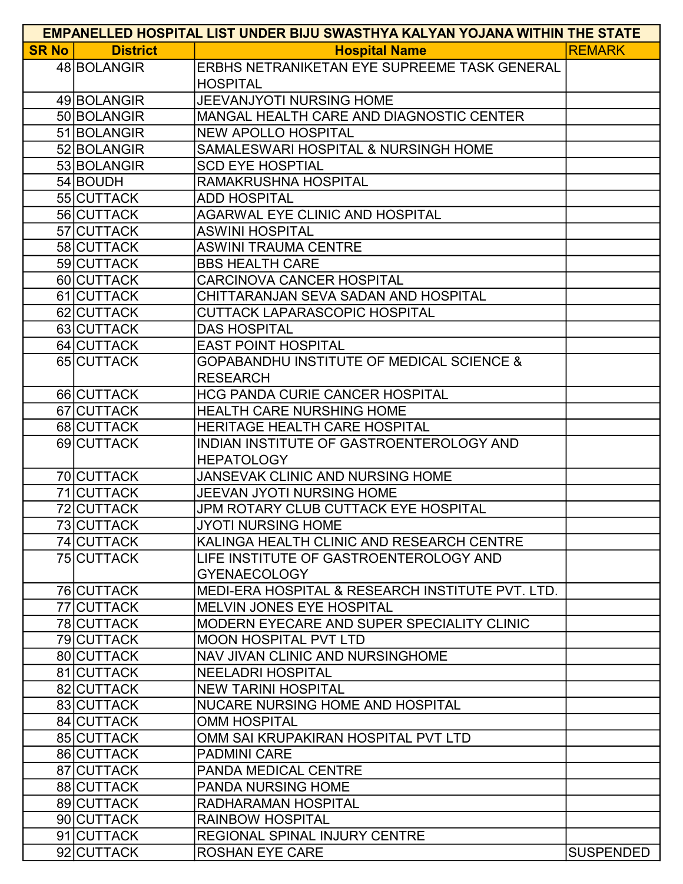| <b>EMPANELLED HOSPITAL LIST UNDER BIJU SWASTHYA KALYAN YOJANA WITHIN THE STATE</b> |                 |                                                      |                  |  |
|------------------------------------------------------------------------------------|-----------------|------------------------------------------------------|------------------|--|
| <b>SR No</b>                                                                       | <b>District</b> | <b>Hospital Name</b>                                 | <b>REMARK</b>    |  |
|                                                                                    | 48 BOLANGIR     | ERBHS NETRANIKETAN EYE SUPREEME TASK GENERAL         |                  |  |
|                                                                                    |                 | <b>HOSPITAL</b>                                      |                  |  |
|                                                                                    | 49 BOLANGIR     | JEEVANJYOTI NURSING HOME                             |                  |  |
|                                                                                    | 50 BOLANGIR     | MANGAL HEALTH CARE AND DIAGNOSTIC CENTER             |                  |  |
|                                                                                    | 51 BOLANGIR     | <b>NEW APOLLO HOSPITAL</b>                           |                  |  |
|                                                                                    | 52 BOLANGIR     | SAMALESWARI HOSPITAL & NURSINGH HOME                 |                  |  |
|                                                                                    | 53 BOLANGIR     | <b>SCD EYE HOSPTIAL</b>                              |                  |  |
|                                                                                    | 54 BOUDH        | RAMAKRUSHNA HOSPITAL                                 |                  |  |
|                                                                                    | 55 CUTTACK      | <b>ADD HOSPITAL</b>                                  |                  |  |
|                                                                                    | 56 CUTTACK      | <b>AGARWAL EYE CLINIC AND HOSPITAL</b>               |                  |  |
|                                                                                    | 57 CUTTACK      | <b>ASWINI HOSPITAL</b>                               |                  |  |
|                                                                                    | 58 CUTTACK      | <b>ASWINI TRAUMA CENTRE</b>                          |                  |  |
|                                                                                    | 59 CUTTACK      | <b>BBS HEALTH CARE</b>                               |                  |  |
|                                                                                    | 60 CUTTACK      | <b>CARCINOVA CANCER HOSPITAL</b>                     |                  |  |
|                                                                                    | 61 CUTTACK      | CHITTARANJAN SEVA SADAN AND HOSPITAL                 |                  |  |
|                                                                                    | 62 CUTTACK      | <b>CUTTACK LAPARASCOPIC HOSPITAL</b>                 |                  |  |
|                                                                                    | 63 CUTTACK      | <b>DAS HOSPITAL</b>                                  |                  |  |
|                                                                                    | 64 CUTTACK      | <b>EAST POINT HOSPITAL</b>                           |                  |  |
|                                                                                    | 65 CUTTACK      | <b>GOPABANDHU INSTITUTE OF MEDICAL SCIENCE &amp;</b> |                  |  |
|                                                                                    |                 | <b>RESEARCH</b>                                      |                  |  |
|                                                                                    | 66 CUTTACK      | <b>HCG PANDA CURIE CANCER HOSPITAL</b>               |                  |  |
|                                                                                    | 67 CUTTACK      | <b>HEALTH CARE NURSHING HOME</b>                     |                  |  |
|                                                                                    | 68 CUTTACK      | HERITAGE HEALTH CARE HOSPITAL                        |                  |  |
|                                                                                    | 69 CUTTACK      | INDIAN INSTITUTE OF GASTROENTEROLOGY AND             |                  |  |
|                                                                                    |                 | <b>HEPATOLOGY</b>                                    |                  |  |
|                                                                                    | 70 CUTTACK      | JANSEVAK CLINIC AND NURSING HOME                     |                  |  |
|                                                                                    | 71 CUTTACK      | <b>JEEVAN JYOTI NURSING HOME</b>                     |                  |  |
|                                                                                    | 72 CUTTACK      | JPM ROTARY CLUB CUTTACK EYE HOSPITAL                 |                  |  |
|                                                                                    | 73 CUTTACK      | JYOTI NURSING HOME                                   |                  |  |
|                                                                                    | 74 CUTTACK      | KALINGA HEALTH CLINIC AND RESEARCH CENTRE            |                  |  |
|                                                                                    | 75 CUTTACK      | LIFE INSTITUTE OF GASTROENTEROLOGY AND               |                  |  |
|                                                                                    |                 | <b>GYENAECOLOGY</b>                                  |                  |  |
|                                                                                    | 76 CUTTACK      | MEDI-ERA HOSPITAL & RESEARCH INSTITUTE PVT. LTD.     |                  |  |
|                                                                                    | 77 CUTTACK      | <b>MELVIN JONES EYE HOSPITAL</b>                     |                  |  |
|                                                                                    | 78 CUTTACK      | MODERN EYECARE AND SUPER SPECIALITY CLINIC           |                  |  |
|                                                                                    | 79 CUTTACK      | <b>MOON HOSPITAL PVT LTD</b>                         |                  |  |
|                                                                                    | 80 CUTTACK      | NAV JIVAN CLINIC AND NURSINGHOME                     |                  |  |
|                                                                                    | 81 CUTTACK      | <b>NEELADRI HOSPITAL</b>                             |                  |  |
|                                                                                    | 82 CUTTACK      | <b>NEW TARINI HOSPITAL</b>                           |                  |  |
|                                                                                    | 83 CUTTACK      | NUCARE NURSING HOME AND HOSPITAL                     |                  |  |
|                                                                                    | 84 CUTTACK      | <b>OMM HOSPITAL</b>                                  |                  |  |
|                                                                                    | 85 CUTTACK      | OMM SAI KRUPAKIRAN HOSPITAL PVT LTD                  |                  |  |
|                                                                                    | 86 CUTTACK      | <b>PADMINI CARE</b>                                  |                  |  |
|                                                                                    | 87 CUTTACK      | <b>PANDA MEDICAL CENTRE</b>                          |                  |  |
|                                                                                    | 88 CUTTACK      | <b>PANDA NURSING HOME</b>                            |                  |  |
|                                                                                    | 89 CUTTACK      | <b>RADHARAMAN HOSPITAL</b>                           |                  |  |
|                                                                                    | 90 CUTTACK      | <b>RAINBOW HOSPITAL</b>                              |                  |  |
|                                                                                    | 91 CUTTACK      | REGIONAL SPINAL INJURY CENTRE                        |                  |  |
|                                                                                    | 92 CUTTACK      | <b>ROSHAN EYE CARE</b>                               | <b>SUSPENDED</b> |  |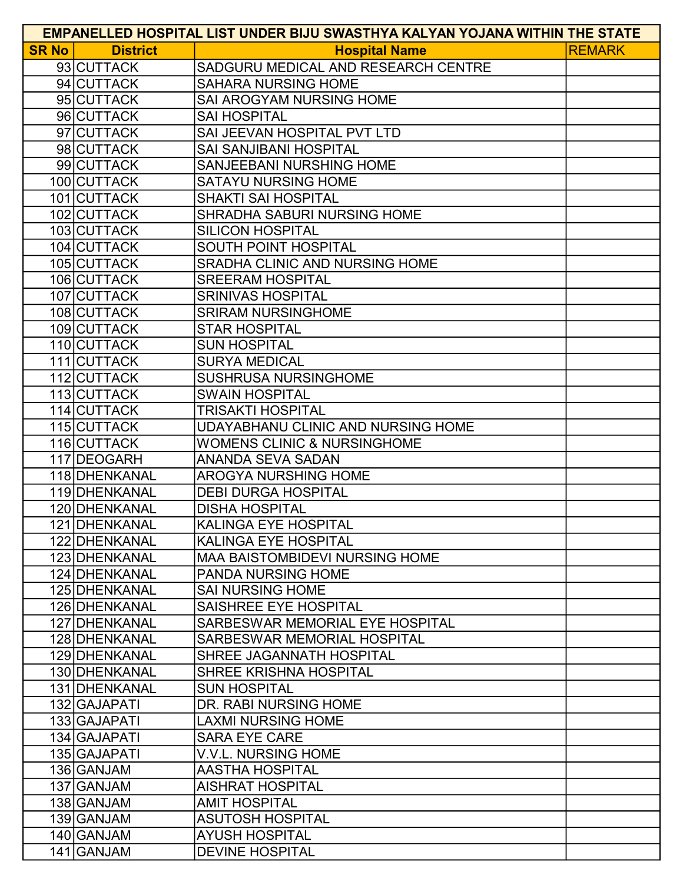| <b>EMPANELLED HOSPITAL LIST UNDER BIJU SWASTHYA KALYAN YOJANA WITHIN THE STATE</b> |                 |                                        |               |  |
|------------------------------------------------------------------------------------|-----------------|----------------------------------------|---------------|--|
| <b>SR No</b>                                                                       | <b>District</b> | <b>Hospital Name</b>                   | <b>REMARK</b> |  |
|                                                                                    | 93 CUTTACK      | SADGURU MEDICAL AND RESEARCH CENTRE    |               |  |
|                                                                                    | 94 CUTTACK      | <b>SAHARA NURSING HOME</b>             |               |  |
|                                                                                    | 95 CUTTACK      | SAI AROGYAM NURSING HOME               |               |  |
|                                                                                    | 96 CUTTACK      | <b>SAI HOSPITAL</b>                    |               |  |
|                                                                                    | 97 CUTTACK      | SAI JEEVAN HOSPITAL PVT LTD            |               |  |
|                                                                                    | 98 CUTTACK      | <b>SAI SANJIBANI HOSPITAL</b>          |               |  |
|                                                                                    | 99 CUTTACK      | <b>SANJEEBANI NURSHING HOME</b>        |               |  |
|                                                                                    | 100 CUTTACK     | <b>SATAYU NURSING HOME</b>             |               |  |
|                                                                                    | 101 CUTTACK     | <b>SHAKTI SAI HOSPITAL</b>             |               |  |
|                                                                                    | 102 CUTTACK     | SHRADHA SABURI NURSING HOME            |               |  |
|                                                                                    | 103 CUTTACK     | <b>SILICON HOSPITAL</b>                |               |  |
|                                                                                    | 104 CUTTACK     | SOUTH POINT HOSPITAL                   |               |  |
|                                                                                    | 105 CUTTACK     | SRADHA CLINIC AND NURSING HOME         |               |  |
|                                                                                    | 106 CUTTACK     | <b>SREERAM HOSPITAL</b>                |               |  |
|                                                                                    | 107 CUTTACK     | <b>SRINIVAS HOSPITAL</b>               |               |  |
|                                                                                    | 108 CUTTACK     | <b>SRIRAM NURSINGHOME</b>              |               |  |
|                                                                                    | 109 CUTTACK     | <b>STAR HOSPITAL</b>                   |               |  |
|                                                                                    | 110 CUTTACK     | <b>SUN HOSPITAL</b>                    |               |  |
|                                                                                    | 111 CUTTACK     | <b>SURYA MEDICAL</b>                   |               |  |
|                                                                                    | 112 CUTTACK     | <b>SUSHRUSA NURSINGHOME</b>            |               |  |
|                                                                                    | 113 CUTTACK     | <b>SWAIN HOSPITAL</b>                  |               |  |
|                                                                                    | 114 CUTTACK     | <b>TRISAKTI HOSPITAL</b>               |               |  |
|                                                                                    | 115 CUTTACK     | UDAYABHANU CLINIC AND NURSING HOME     |               |  |
|                                                                                    | 116 CUTTACK     | <b>WOMENS CLINIC &amp; NURSINGHOME</b> |               |  |
|                                                                                    | 117 DEOGARH     | <b>ANANDA SEVA SADAN</b>               |               |  |
|                                                                                    | 118 DHENKANAL   | <b>AROGYA NURSHING HOME</b>            |               |  |
|                                                                                    | 119 DHENKANAL   | <b>DEBI DURGA HOSPITAL</b>             |               |  |
|                                                                                    | 120   DHENKANAL | <b>DISHA HOSPITAL</b>                  |               |  |
|                                                                                    | 121 DHENKANAL   | <b>KALINGA EYE HOSPITAL</b>            |               |  |
|                                                                                    | 122 DHENKANAL   | <b>KALINGA EYE HOSPITAL</b>            |               |  |
|                                                                                    | 123 DHENKANAL   | <b>MAA BAISTOMBIDEVI NURSING HOME</b>  |               |  |
|                                                                                    | 124 DHENKANAL   | <b>PANDA NURSING HOME</b>              |               |  |
|                                                                                    | 125 DHENKANAL   | <b>SAI NURSING HOME</b>                |               |  |
|                                                                                    | 126 DHENKANAL   | SAISHREE EYE HOSPITAL                  |               |  |
|                                                                                    | 127 DHENKANAL   | SARBESWAR MEMORIAL EYE HOSPITAL        |               |  |
|                                                                                    | 128 DHENKANAL   | SARBESWAR MEMORIAL HOSPITAL            |               |  |
|                                                                                    | 129 DHENKANAL   | SHREE JAGANNATH HOSPITAL               |               |  |
|                                                                                    | 130 DHENKANAL   | <b>SHREE KRISHNA HOSPITAL</b>          |               |  |
|                                                                                    | 131 IDHENKANAL  | <b>SUN HOSPITAL</b>                    |               |  |
|                                                                                    | 132 GAJAPATI    | DR. RABI NURSING HOME                  |               |  |
|                                                                                    | 133 GAJAPATI    | <b>LAXMI NURSING HOME</b>              |               |  |
|                                                                                    | 134 GAJAPATI    | <b>SARA EYE CARE</b>                   |               |  |
|                                                                                    | 135 GAJAPATI    | <b>V.V.L. NURSING HOME</b>             |               |  |
|                                                                                    | 136 GANJAM      | <b>AASTHA HOSPITAL</b>                 |               |  |
|                                                                                    | 137 GANJAM      | <b>AISHRAT HOSPITAL</b>                |               |  |
|                                                                                    | 138 GANJAM      | <b>AMIT HOSPITAL</b>                   |               |  |
|                                                                                    | 139 GANJAM      | <b>ASUTOSH HOSPITAL</b>                |               |  |
|                                                                                    | 140 GANJAM      | <b>AYUSH HOSPITAL</b>                  |               |  |
|                                                                                    | 141 GANJAM      | <b>DEVINE HOSPITAL</b>                 |               |  |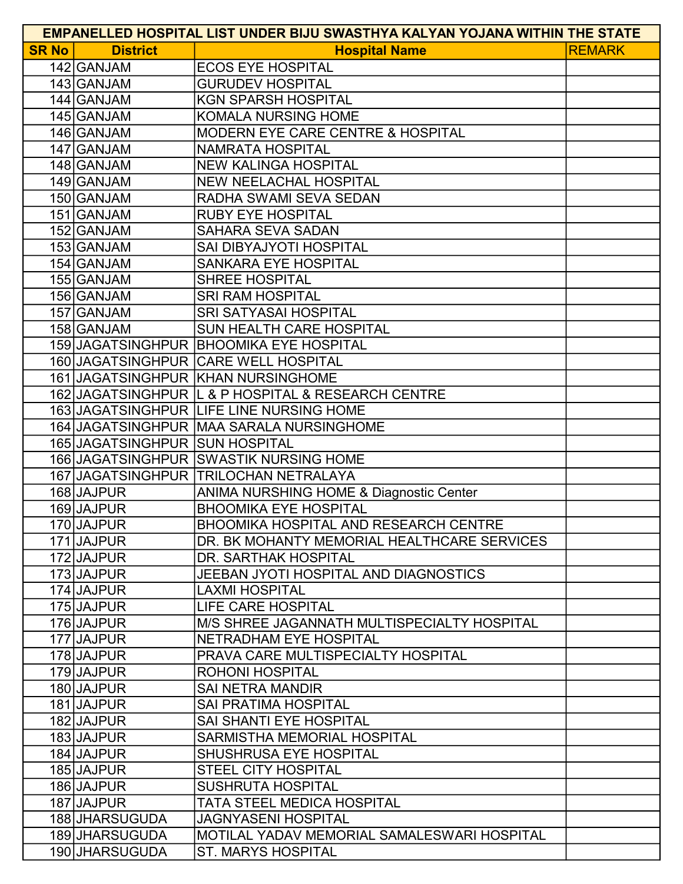| <b>EMPANELLED HOSPITAL LIST UNDER BIJU SWASTHYA KALYAN YOJANA WITHIN THE STATE</b> |                                |                                                    |               |  |
|------------------------------------------------------------------------------------|--------------------------------|----------------------------------------------------|---------------|--|
| <b>SR No</b>                                                                       | <b>District</b>                | <b>Hospital Name</b>                               | <b>REMARK</b> |  |
|                                                                                    | 142 GANJAM                     | <b>ECOS EYE HOSPITAL</b>                           |               |  |
|                                                                                    | 143 GANJAM                     | <b>GURUDEV HOSPITAL</b>                            |               |  |
|                                                                                    | 144 GANJAM                     | <b>KGN SPARSH HOSPITAL</b>                         |               |  |
|                                                                                    | 145 GANJAM                     | <b>KOMALA NURSING HOME</b>                         |               |  |
|                                                                                    | 146 GANJAM                     | <b>MODERN EYE CARE CENTRE &amp; HOSPITAL</b>       |               |  |
|                                                                                    | 147 GANJAM                     | <b>NAMRATA HOSPITAL</b>                            |               |  |
|                                                                                    | 148 GANJAM                     | <b>NEW KALINGA HOSPITAL</b>                        |               |  |
|                                                                                    | 149 GANJAM                     | <b>NEW NEELACHAL HOSPITAL</b>                      |               |  |
|                                                                                    | 150 GANJAM                     | RADHA SWAMI SEVA SEDAN                             |               |  |
|                                                                                    | 151 GANJAM                     | <b>RUBY EYE HOSPITAL</b>                           |               |  |
|                                                                                    | 152 GANJAM                     | <b>SAHARA SEVA SADAN</b>                           |               |  |
|                                                                                    | 153 GANJAM                     | SAI DIBYAJYOTI HOSPITAL                            |               |  |
|                                                                                    | 154 GANJAM                     | <b>SANKARA EYE HOSPITAL</b>                        |               |  |
|                                                                                    | 155 GANJAM                     | <b>SHREE HOSPITAL</b>                              |               |  |
|                                                                                    | 156 GANJAM                     | <b>SRI RAM HOSPITAL</b>                            |               |  |
|                                                                                    | 157 GANJAM                     | <b>SRI SATYASAI HOSPITAL</b>                       |               |  |
|                                                                                    | 158 GANJAM                     | SUN HEALTH CARE HOSPITAL                           |               |  |
|                                                                                    |                                | 159 JAGATSINGHPUR BHOOMIKA EYE HOSPITAL            |               |  |
|                                                                                    |                                | 160 JAGATSINGHPUR CARE WELL HOSPITAL               |               |  |
|                                                                                    |                                | 161 JAGATSINGHPUR KHAN NURSINGHOME                 |               |  |
|                                                                                    |                                | 162 JAGATSINGHPUR L & P HOSPITAL & RESEARCH CENTRE |               |  |
|                                                                                    |                                | 163 JAGATSINGHPUR LIFE LINE NURSING HOME           |               |  |
|                                                                                    |                                | 164 JAGATSINGHPUR MAA SARALA NURSINGHOME           |               |  |
|                                                                                    | 165 JAGATSINGHPUR SUN HOSPITAL |                                                    |               |  |
|                                                                                    |                                | 166 JAGATSINGHPUR SWASTIK NURSING HOME             |               |  |
|                                                                                    |                                | 167 JAGATSINGHPUR TRILOCHAN NETRALAYA              |               |  |
|                                                                                    | 168 JAJPUR                     | ANIMA NURSHING HOME & Diagnostic Center            |               |  |
|                                                                                    | 169 JAJPUR                     | <b>BHOOMIKA EYE HOSPITAL</b>                       |               |  |
|                                                                                    | 170 JAJPUR                     | BHOOMIKA HOSPITAL AND RESEARCH CENTRE              |               |  |
|                                                                                    | 171 JAJPUR                     | DR. BK MOHANTY MEMORIAL HEALTHCARE SERVICES        |               |  |
|                                                                                    | 172 JAJPUR                     | DR. SARTHAK HOSPITAL                               |               |  |
|                                                                                    | 173 JAJPUR                     | JEEBAN JYOTI HOSPITAL AND DIAGNOSTICS              |               |  |
|                                                                                    | 174 JAJPUR                     | <b>LAXMI HOSPITAL</b>                              |               |  |
|                                                                                    | 175 JAJPUR                     | <b>LIFE CARE HOSPITAL</b>                          |               |  |
|                                                                                    | 176 JAJPUR                     | M/S SHREE JAGANNATH MULTISPECIALTY HOSPITAL        |               |  |
|                                                                                    | 177 JAJPUR                     | NETRADHAM EYE HOSPITAL                             |               |  |
|                                                                                    | 178 JAJPUR                     | PRAVA CARE MULTISPECIALTY HOSPITAL                 |               |  |
|                                                                                    | 179 JAJPUR                     | <b>ROHONI HOSPITAL</b>                             |               |  |
|                                                                                    | 180 JAJPUR                     | <b>SAI NETRA MANDIR</b>                            |               |  |
|                                                                                    | 181 JAJPUR                     | <b>SAI PRATIMA HOSPITAL</b>                        |               |  |
|                                                                                    | 182 JAJPUR                     | SAI SHANTI EYE HOSPITAL                            |               |  |
|                                                                                    | 183 JAJPUR                     | SARMISTHA MEMORIAL HOSPITAL                        |               |  |
|                                                                                    | 184 JAJPUR                     | <b>SHUSHRUSA EYE HOSPITAL</b>                      |               |  |
|                                                                                    | 185 JAJPUR                     | <b>STEEL CITY HOSPITAL</b>                         |               |  |
|                                                                                    | 186 JAJPUR                     | <b>SUSHRUTA HOSPITAL</b>                           |               |  |
|                                                                                    | 187 JAJPUR                     | TATA STEEL MEDICA HOSPITAL                         |               |  |
|                                                                                    | 188 JHARSUGUDA                 | <b>JAGNYASENI HOSPITAL</b>                         |               |  |
|                                                                                    | 189 JHARSUGUDA                 | MOTILAL YADAV MEMORIAL SAMALESWARI HOSPITAL        |               |  |
|                                                                                    | 190 JHARSUGUDA                 | <b>ST. MARYS HOSPITAL</b>                          |               |  |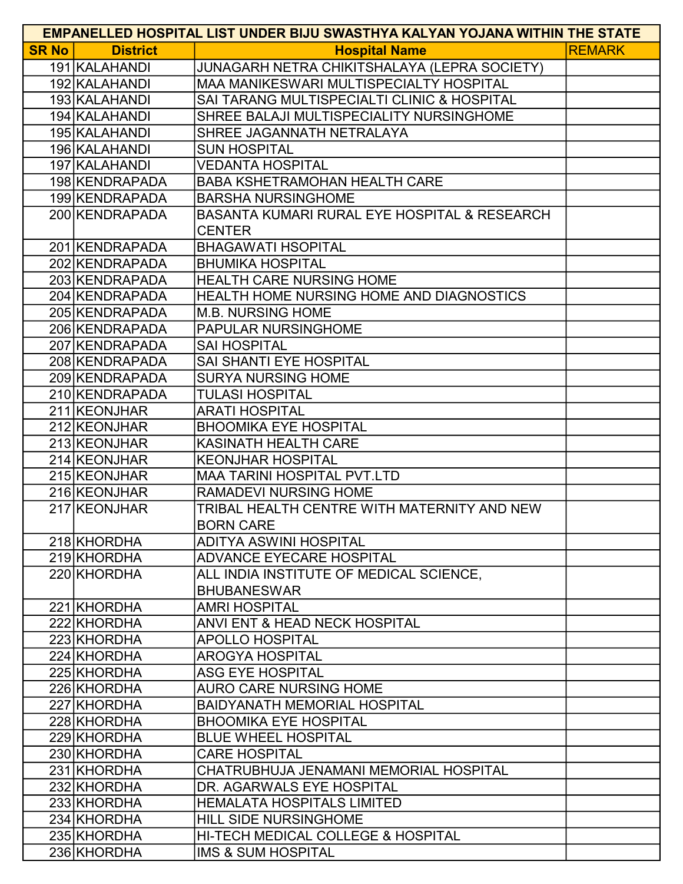| <b>EMPANELLED HOSPITAL LIST UNDER BIJU SWASTHYA KALYAN YOJANA WITHIN THE STATE</b> |                 |                                               |               |  |
|------------------------------------------------------------------------------------|-----------------|-----------------------------------------------|---------------|--|
| <b>SR No</b>                                                                       | <b>District</b> | <b>Hospital Name</b>                          | <b>REMARK</b> |  |
|                                                                                    | 191 KALAHANDI   | JUNAGARH NETRA CHIKITSHALAYA (LEPRA SOCIETY)  |               |  |
|                                                                                    | 192 KALAHANDI   | MAA MANIKESWARI MULTISPECIALTY HOSPITAL       |               |  |
|                                                                                    | 193 KALAHANDI   | SAI TARANG MULTISPECIALTI CLINIC & HOSPITAL   |               |  |
|                                                                                    | 194 KALAHANDI   | SHREE BALAJI MULTISPECIALITY NURSINGHOME      |               |  |
|                                                                                    | 195 KALAHANDI   | SHREE JAGANNATH NETRALAYA                     |               |  |
|                                                                                    | 196 KALAHANDI   | <b>SUN HOSPITAL</b>                           |               |  |
|                                                                                    | 197 KALAHANDI   | <b>VEDANTA HOSPITAL</b>                       |               |  |
|                                                                                    | 198 KENDRAPADA  | <b>BABA KSHETRAMOHAN HEALTH CARE</b>          |               |  |
|                                                                                    | 199 KENDRAPADA  | <b>BARSHA NURSINGHOME</b>                     |               |  |
|                                                                                    | 200 KENDRAPADA  | BASANTA KUMARI RURAL EYE HOSPITAL & RESEARCH  |               |  |
|                                                                                    |                 | <b>CENTER</b>                                 |               |  |
|                                                                                    | 201 KENDRAPADA  | <b>BHAGAWATI HSOPITAL</b>                     |               |  |
|                                                                                    | 202 KENDRAPADA  | <b>BHUMIKA HOSPITAL</b>                       |               |  |
|                                                                                    | 203 KENDRAPADA  | <b>HEALTH CARE NURSING HOME</b>               |               |  |
|                                                                                    | 204 KENDRAPADA  | HEALTH HOME NURSING HOME AND DIAGNOSTICS      |               |  |
|                                                                                    | 205 KENDRAPADA  | <b>M.B. NURSING HOME</b>                      |               |  |
|                                                                                    | 206 KENDRAPADA  | PAPULAR NURSINGHOME                           |               |  |
|                                                                                    | 207 KENDRAPADA  | <b>SAI HOSPITAL</b>                           |               |  |
|                                                                                    | 208 KENDRAPADA  | SAI SHANTI EYE HOSPITAL                       |               |  |
|                                                                                    | 209 KENDRAPADA  | <b>SURYA NURSING HOME</b>                     |               |  |
|                                                                                    | 210 KENDRAPADA  | <b>TULASI HOSPITAL</b>                        |               |  |
|                                                                                    | 211 KEONJHAR    | <b>ARATI HOSPITAL</b>                         |               |  |
|                                                                                    | 212 KEONJHAR    | <b>BHOOMIKA EYE HOSPITAL</b>                  |               |  |
|                                                                                    | 213 KEONJHAR    | <b>KASINATH HEALTH CARE</b>                   |               |  |
|                                                                                    | 214 KEONJHAR    | <b>KEONJHAR HOSPITAL</b>                      |               |  |
|                                                                                    | 215 KEONJHAR    | <b>MAA TARINI HOSPITAL PVT.LTD</b>            |               |  |
|                                                                                    | 216 KEONJHAR    | <b>RAMADEVI NURSING HOME</b>                  |               |  |
|                                                                                    | 217 KEONJHAR    | TRIBAL HEALTH CENTRE WITH MATERNITY AND NEW   |               |  |
|                                                                                    |                 | <b>BORN CARE</b>                              |               |  |
|                                                                                    | 218 KHORDHA     | <b>ADITYA ASWINI HOSPITAL</b>                 |               |  |
|                                                                                    | 219 KHORDHA     | <b>ADVANCE EYECARE HOSPITAL</b>               |               |  |
|                                                                                    | 220 KHORDHA     | ALL INDIA INSTITUTE OF MEDICAL SCIENCE,       |               |  |
|                                                                                    |                 | <b>BHUBANESWAR</b>                            |               |  |
|                                                                                    | 221 KHORDHA     | <b>AMRI HOSPITAL</b>                          |               |  |
|                                                                                    | 222 KHORDHA     | ANVI ENT & HEAD NECK HOSPITAL                 |               |  |
|                                                                                    | 223 KHORDHA     | <b>APOLLO HOSPITAL</b>                        |               |  |
|                                                                                    | 224 KHORDHA     | <b>AROGYA HOSPITAL</b>                        |               |  |
|                                                                                    | 225 KHORDHA     | <b>ASG EYE HOSPITAL</b>                       |               |  |
|                                                                                    | 226 KHORDHA     | <b>AURO CARE NURSING HOME</b>                 |               |  |
|                                                                                    | 227 KHORDHA     | <b>BAIDYANATH MEMORIAL HOSPITAL</b>           |               |  |
|                                                                                    | 228 KHORDHA     | <b>BHOOMIKA EYE HOSPITAL</b>                  |               |  |
|                                                                                    | 229 KHORDHA     | <b>BLUE WHEEL HOSPITAL</b>                    |               |  |
|                                                                                    | 230 KHORDHA     | <b>CARE HOSPITAL</b>                          |               |  |
|                                                                                    | 231 KHORDHA     | CHATRUBHUJA JENAMANI MEMORIAL HOSPITAL        |               |  |
|                                                                                    | 232 KHORDHA     | DR. AGARWALS EYE HOSPITAL                     |               |  |
|                                                                                    | 233 KHORDHA     | <b>HEMALATA HOSPITALS LIMITED</b>             |               |  |
|                                                                                    | 234 KHORDHA     | <b>HILL SIDE NURSINGHOME</b>                  |               |  |
|                                                                                    | 235 KHORDHA     | <b>HI-TECH MEDICAL COLLEGE &amp; HOSPITAL</b> |               |  |
|                                                                                    | 236 KHORDHA     | <b>IMS &amp; SUM HOSPITAL</b>                 |               |  |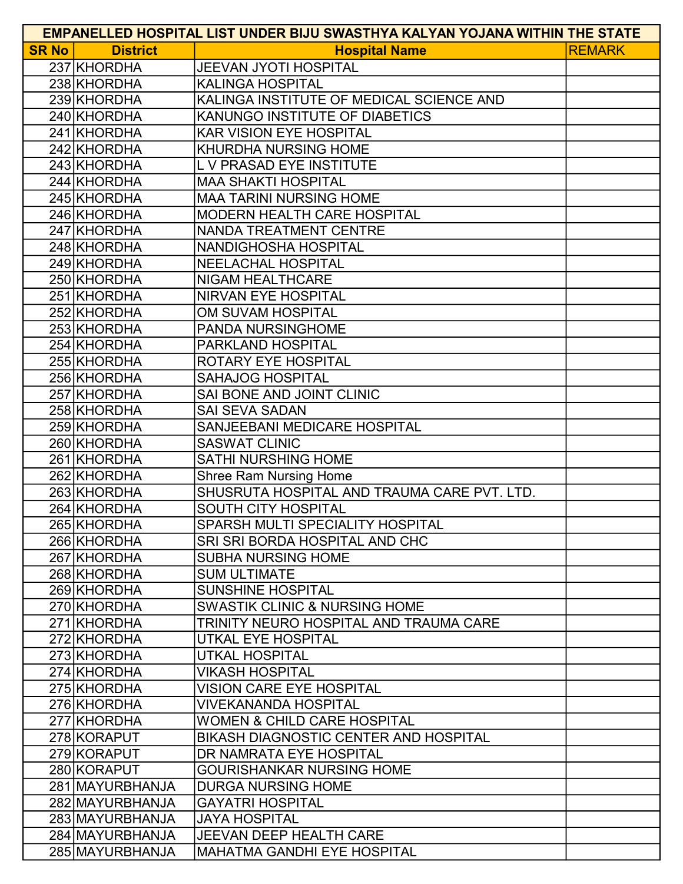| <b>EMPANELLED HOSPITAL LIST UNDER BIJU SWASTHYA KALYAN YOJANA WITHIN THE STATE</b> |                   |                                             |               |  |
|------------------------------------------------------------------------------------|-------------------|---------------------------------------------|---------------|--|
| <b>SR No</b>                                                                       | <b>District</b>   | <b>Hospital Name</b>                        | <b>REMARK</b> |  |
|                                                                                    | 237 KHORDHA       | <b>JEEVAN JYOTI HOSPITAL</b>                |               |  |
|                                                                                    | 238 KHORDHA       | <b>KALINGA HOSPITAL</b>                     |               |  |
|                                                                                    | 239 KHORDHA       | KALINGA INSTITUTE OF MEDICAL SCIENCE AND    |               |  |
|                                                                                    | 240 KHORDHA       | KANUNGO INSTITUTE OF DIABETICS              |               |  |
|                                                                                    | 241 KHORDHA       | <b>KAR VISION EYE HOSPITAL</b>              |               |  |
|                                                                                    | 242 KHORDHA       | <b>KHURDHA NURSING HOME</b>                 |               |  |
|                                                                                    | 243 KHORDHA       | L V PRASAD EYE INSTITUTE                    |               |  |
|                                                                                    | 244 KHORDHA       | <b>MAA SHAKTI HOSPITAL</b>                  |               |  |
|                                                                                    | 245 KHORDHA       | <b>MAA TARINI NURSING HOME</b>              |               |  |
|                                                                                    | 246 KHORDHA       | <b>MODERN HEALTH CARE HOSPITAL</b>          |               |  |
|                                                                                    | 247 KHORDHA       | NANDA TREATMENT CENTRE                      |               |  |
|                                                                                    | 248 KHORDHA       | NANDIGHOSHA HOSPITAL                        |               |  |
|                                                                                    | 249 KHORDHA       | <b>NEELACHAL HOSPITAL</b>                   |               |  |
|                                                                                    | 250 KHORDHA       | <b>NIGAM HEALTHCARE</b>                     |               |  |
|                                                                                    | 251 KHORDHA       | <b>NIRVAN EYE HOSPITAL</b>                  |               |  |
|                                                                                    | 252 KHORDHA       | OM SUVAM HOSPITAL                           |               |  |
|                                                                                    | 253 KHORDHA       | <b>PANDA NURSINGHOME</b>                    |               |  |
|                                                                                    | 254 KHORDHA       | PARKLAND HOSPITAL                           |               |  |
|                                                                                    | 255 KHORDHA       | <b>ROTARY EYE HOSPITAL</b>                  |               |  |
|                                                                                    | 256 KHORDHA       | <b>SAHAJOG HOSPITAL</b>                     |               |  |
|                                                                                    | 257 KHORDHA       | <b>SAI BONE AND JOINT CLINIC</b>            |               |  |
|                                                                                    | 258 KHORDHA       | <b>SAI SEVA SADAN</b>                       |               |  |
|                                                                                    | 259 KHORDHA       | SANJEEBANI MEDICARE HOSPITAL                |               |  |
|                                                                                    | 260 KHORDHA       | <b>SASWAT CLINIC</b>                        |               |  |
|                                                                                    | 261 KHORDHA       | <b>SATHI NURSHING HOME</b>                  |               |  |
|                                                                                    | 262 KHORDHA       | <b>Shree Ram Nursing Home</b>               |               |  |
|                                                                                    | 263 KHORDHA       | SHUSRUTA HOSPITAL AND TRAUMA CARE PVT. LTD. |               |  |
|                                                                                    | 264 KHORDHA       | <b>SOUTH CITY HOSPITAL</b>                  |               |  |
|                                                                                    | 265 KHORDHA       | SPARSH MULTI SPECIALITY HOSPITAL            |               |  |
|                                                                                    | 266 KHORDHA       | <b>SRI SRI BORDA HOSPITAL AND CHC</b>       |               |  |
|                                                                                    | 267 KHORDHA       | <b>SUBHA NURSING HOME</b>                   |               |  |
|                                                                                    | 268 KHORDHA       | <b>SUM ULTIMATE</b>                         |               |  |
|                                                                                    | 269 KHORDHA       | <b>SUNSHINE HOSPITAL</b>                    |               |  |
|                                                                                    | 270 KHORDHA       | <b>SWASTIK CLINIC &amp; NURSING HOME</b>    |               |  |
|                                                                                    | 271 KHORDHA       | TRINITY NEURO HOSPITAL AND TRAUMA CARE      |               |  |
|                                                                                    | 272 KHORDHA       | UTKAL EYE HOSPITAL                          |               |  |
|                                                                                    | 273 KHORDHA       | <b>UTKAL HOSPITAL</b>                       |               |  |
|                                                                                    | 274 KHORDHA       | <b>VIKASH HOSPITAL</b>                      |               |  |
|                                                                                    | 275 KHORDHA       | <b>VISION CARE EYE HOSPITAL</b>             |               |  |
|                                                                                    | 276 KHORDHA       | <b>VIVEKANANDA HOSPITAL</b>                 |               |  |
|                                                                                    | 277 KHORDHA       | WOMEN & CHILD CARE HOSPITAL                 |               |  |
|                                                                                    | 278 KORAPUT       | BIKASH DIAGNOSTIC CENTER AND HOSPITAL       |               |  |
|                                                                                    | 279 KORAPUT       | DR NAMRATA EYE HOSPITAL                     |               |  |
|                                                                                    | 280 KORAPUT       | <b>GOURISHANKAR NURSING HOME</b>            |               |  |
|                                                                                    | 281   MAYURBHANJA | <b>DURGA NURSING HOME</b>                   |               |  |
|                                                                                    | 282 MAYURBHANJA   | <b>GAYATRI HOSPITAL</b>                     |               |  |
|                                                                                    | 283 MAYURBHANJA   | <b>JAYA HOSPITAL</b>                        |               |  |
|                                                                                    | 284 MAYURBHANJA   | <b>JEEVAN DEEP HEALTH CARE</b>              |               |  |
|                                                                                    | 285 MAYURBHANJA   | <b>MAHATMA GANDHI EYE HOSPITAL</b>          |               |  |